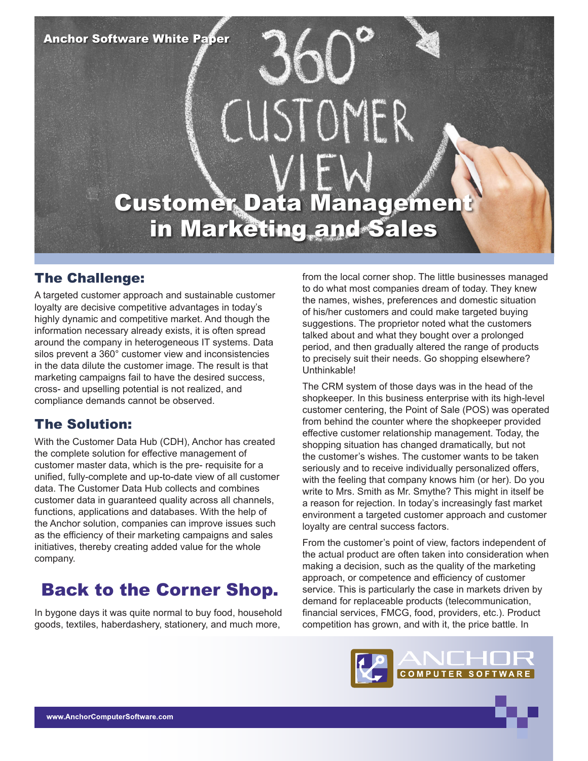**Anchor Software White Paper** 

# CUSTOMER **Customer Data Management** in Marketing and Sales

## The Challenge:

A targeted customer approach and sustainable customer loyalty are decisive competitive advantages in today's highly dynamic and competitive market. And though the information necessary already exists, it is often spread around the company in heterogeneous IT systems. Data silos prevent a 360° customer view and inconsistencies in the data dilute the customer image. The result is that marketing campaigns fail to have the desired success, cross- and upselling potential is not realized, and compliance demands cannot be observed.

## The Solution:

With the Customer Data Hub (CDH), Anchor has created the complete solution for effective management of customer master data, which is the pre- requisite for a unified, fully-complete and up-to-date view of all customer data. The Customer Data Hub collects and combines customer data in guaranteed quality across all channels, functions, applications and databases. With the help of the Anchor solution, companies can improve issues such as the efficiency of their marketing campaigns and sales initiatives, thereby creating added value for the whole company.

# Back to the Corner Shop.

In bygone days it was quite normal to buy food, household goods, textiles, haberdashery, stationery, and much more,

from the local corner shop. The little businesses managed to do what most companies dream of today. They knew the names, wishes, preferences and domestic situation of his/her customers and could make targeted buying suggestions. The proprietor noted what the customers talked about and what they bought over a prolonged period, and then gradually altered the range of products to precisely suit their needs. Go shopping elsewhere? Unthinkable!

The CRM system of those days was in the head of the shopkeeper. In this business enterprise with its high-level customer centering, the Point of Sale (POS) was operated from behind the counter where the shopkeeper provided effective customer relationship management. Today, the shopping situation has changed dramatically, but not the customer's wishes. The customer wants to be taken seriously and to receive individually personalized offers, with the feeling that company knows him (or her). Do you write to Mrs. Smith as Mr. Smythe? This might in itself be a reason for rejection. In today's increasingly fast market environment a targeted customer approach and customer loyalty are central success factors.

From the customer's point of view, factors independent of the actual product are often taken into consideration when making a decision, such as the quality of the marketing approach, or competence and efficiency of customer service. This is particularly the case in markets driven by demand for replaceable products (telecommunication, financial services, FMCG, food, providers, etc.). Product competition has grown, and with it, the price battle. In

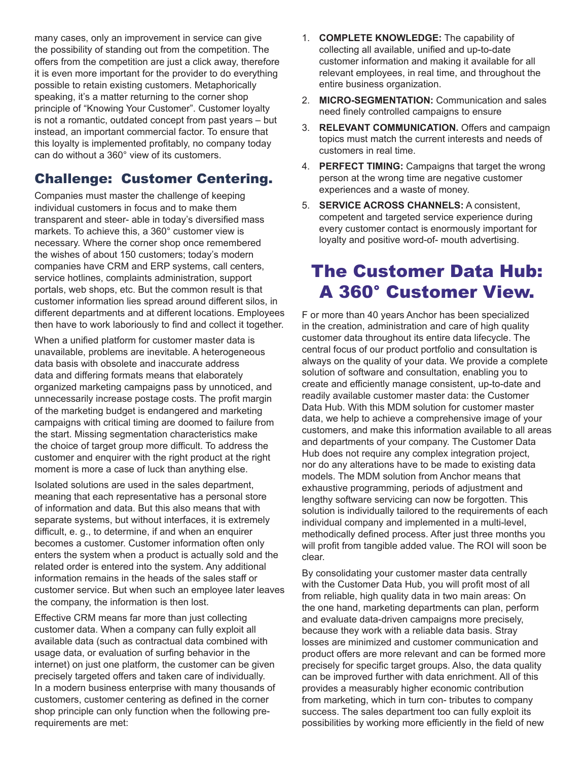many cases, only an improvement in service can give the possibility of standing out from the competition. The offers from the competition are just a click away, therefore it is even more important for the provider to do everything possible to retain existing customers. Metaphorically speaking, it's a matter returning to the corner shop principle of "Knowing Your Customer". Customer loyalty is not a romantic, outdated concept from past years – but instead, an important commercial factor. To ensure that this loyalty is implemented profitably, no company today can do without a 360° view of its customers.

## Challenge: Customer Centering.

Companies must master the challenge of keeping individual customers in focus and to make them transparent and steer- able in today's diversified mass markets. To achieve this, a 360° customer view is necessary. Where the corner shop once remembered the wishes of about 150 customers; today's modern companies have CRM and ERP systems, call centers, service hotlines, complaints administration, support portals, web shops, etc. But the common result is that customer information lies spread around different silos, in different departments and at different locations. Employees then have to work laboriously to find and collect it together.

When a unified platform for customer master data is unavailable, problems are inevitable. A heterogeneous data basis with obsolete and inaccurate address data and differing formats means that elaborately organized marketing campaigns pass by unnoticed, and unnecessarily increase postage costs. The profit margin of the marketing budget is endangered and marketing campaigns with critical timing are doomed to failure from the start. Missing segmentation characteristics make the choice of target group more difficult. To address the customer and enquirer with the right product at the right moment is more a case of luck than anything else.

Isolated solutions are used in the sales department, meaning that each representative has a personal store of information and data. But this also means that with separate systems, but without interfaces, it is extremely difficult, e. g., to determine, if and when an enquirer becomes a customer. Customer information often only enters the system when a product is actually sold and the related order is entered into the system. Any additional information remains in the heads of the sales staff or customer service. But when such an employee later leaves the company, the information is then lost.

Effective CRM means far more than just collecting customer data. When a company can fully exploit all available data (such as contractual data combined with usage data, or evaluation of surfing behavior in the internet) on just one platform, the customer can be given precisely targeted offers and taken care of individually. In a modern business enterprise with many thousands of customers, customer centering as defined in the corner shop principle can only function when the following prerequirements are met:

- 1. **COMPLETE KNOWLEDGE:** The capability of collecting all available, unified and up-to-date customer information and making it available for all relevant employees, in real time, and throughout the entire business organization.
- 2. **MICRO-SEGMENTATION:** Communication and sales need finely controlled campaigns to ensure
- 3. **RELEVANT COMMUNICATION.** Offers and campaign topics must match the current interests and needs of customers in real time.
- 4. **PERFECT TIMING:** Campaigns that target the wrong person at the wrong time are negative customer experiences and a waste of money.
- 5. **SERVICE ACROSS CHANNELS:** A consistent, competent and targeted service experience during every customer contact is enormously important for loyalty and positive word-of- mouth advertising.

# The Customer Data Hub: A 360° Customer View.

F or more than 40 years Anchor has been specialized in the creation, administration and care of high quality customer data throughout its entire data lifecycle. The central focus of our product portfolio and consultation is always on the quality of your data. We provide a complete solution of software and consultation, enabling you to create and efficiently manage consistent, up-to-date and readily available customer master data: the Customer Data Hub. With this MDM solution for customer master data, we help to achieve a comprehensive image of your customers, and make this information available to all areas and departments of your company. The Customer Data Hub does not require any complex integration project, nor do any alterations have to be made to existing data models. The MDM solution from Anchor means that exhaustive programming, periods of adjustment and lengthy software servicing can now be forgotten. This solution is individually tailored to the requirements of each individual company and implemented in a multi-level, methodically defined process. After just three months you will profit from tangible added value. The ROI will soon be clear.

By consolidating your customer master data centrally with the Customer Data Hub, you will profit most of all from reliable, high quality data in two main areas: On the one hand, marketing departments can plan, perform and evaluate data-driven campaigns more precisely, because they work with a reliable data basis. Stray losses are minimized and customer communication and product offers are more relevant and can be formed more precisely for specific target groups. Also, the data quality can be improved further with data enrichment. All of this provides a measurably higher economic contribution from marketing, which in turn con- tributes to company success. The sales department too can fully exploit its possibilities by working more efficiently in the field of new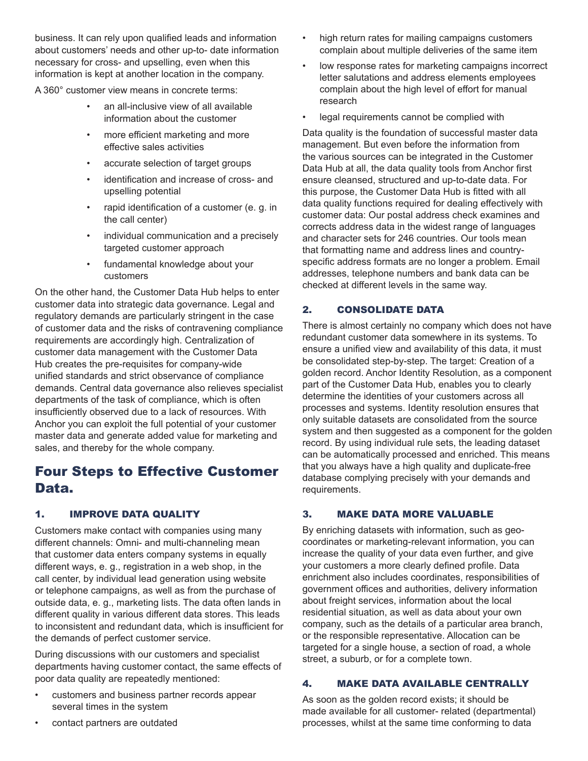business. It can rely upon qualified leads and information about customers' needs and other up-to- date information necessary for cross- and upselling, even when this information is kept at another location in the company.

A 360° customer view means in concrete terms:

- an all-inclusive view of all available information about the customer
- more efficient marketing and more effective sales activities
- accurate selection of target groups
- identification and increase of cross- and upselling potential
- rapid identification of a customer (e. g. in the call center)
- individual communication and a precisely targeted customer approach
- fundamental knowledge about your customers

On the other hand, the Customer Data Hub helps to enter customer data into strategic data governance. Legal and regulatory demands are particularly stringent in the case of customer data and the risks of contravening compliance requirements are accordingly high. Centralization of customer data management with the Customer Data Hub creates the pre-requisites for company-wide unified standards and strict observance of compliance demands. Central data governance also relieves specialist departments of the task of compliance, which is often insufficiently observed due to a lack of resources. With Anchor you can exploit the full potential of your customer master data and generate added value for marketing and sales, and thereby for the whole company.

## Four Steps to Effective Customer Data.

### 1. IMPROVE DATA QUALITY

Customers make contact with companies using many different channels: Omni- and multi-channeling mean that customer data enters company systems in equally different ways, e. g., registration in a web shop, in the call center, by individual lead generation using website or telephone campaigns, as well as from the purchase of outside data, e. g., marketing lists. The data often lands in different quality in various different data stores. This leads to inconsistent and redundant data, which is insufficient for the demands of perfect customer service.

During discussions with our customers and specialist departments having customer contact, the same effects of poor data quality are repeatedly mentioned:

• customers and business partner records appear several times in the system

- high return rates for mailing campaigns customers complain about multiple deliveries of the same item
- low response rates for marketing campaigns incorrect letter salutations and address elements employees complain about the high level of effort for manual research
- legal requirements cannot be complied with

Data quality is the foundation of successful master data management. But even before the information from the various sources can be integrated in the Customer Data Hub at all, the data quality tools from Anchor first ensure cleansed, structured and up-to-date data. For this purpose, the Customer Data Hub is fitted with all data quality functions required for dealing effectively with customer data: Our postal address check examines and corrects address data in the widest range of languages and character sets for 246 countries. Our tools mean that formatting name and address lines and countryspecific address formats are no longer a problem. Email addresses, telephone numbers and bank data can be checked at different levels in the same way.

### 2. CONSOLIDATE DATA

There is almost certainly no company which does not have redundant customer data somewhere in its systems. To ensure a unified view and availability of this data, it must be consolidated step-by-step. The target: Creation of a golden record. Anchor Identity Resolution, as a component part of the Customer Data Hub, enables you to clearly determine the identities of your customers across all processes and systems. Identity resolution ensures that only suitable datasets are consolidated from the source system and then suggested as a component for the golden record. By using individual rule sets, the leading dataset can be automatically processed and enriched. This means that you always have a high quality and duplicate-free database complying precisely with your demands and requirements.

#### 3. MAKE DATA MORE VALUABLE

By enriching datasets with information, such as geocoordinates or marketing-relevant information, you can increase the quality of your data even further, and give your customers a more clearly defined profile. Data enrichment also includes coordinates, responsibilities of government offices and authorities, delivery information about freight services, information about the local residential situation, as well as data about your own company, such as the details of a particular area branch, or the responsible representative. Allocation can be targeted for a single house, a section of road, a whole street, a suburb, or for a complete town.

#### 4. MAKE DATA AVAILABLE CENTRALLY

As soon as the golden record exists; it should be made available for all customer- related (departmental) processes, whilst at the same time conforming to data

contact partners are outdated